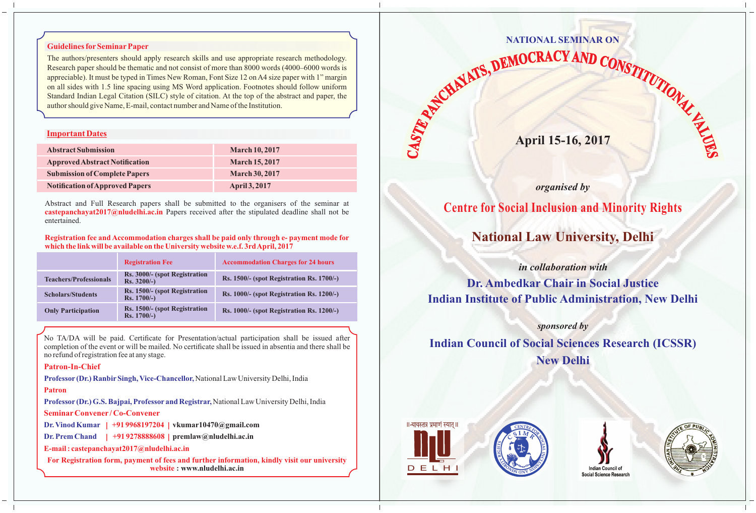## **Guidelines forSeminarPaper**

The authors/presenters should apply research skills and use appropriate research methodology. Research paper should be thematic and not consist of more than 8000 words (4000–6000 words is appreciable). It must be typed in Times New Roman, Font Size 12 on A4 size paper with 1" margin on all sides with 1.5 line spacing using MS Word application. Footnotes should follow uniform Standard Indian Legal Citation (SILC) style of citation. At the top of the abstract and paper, the author should give Name, E-mail, contact number and Name of the Institution.

## **Important Dates**

| <b>Abstract Submission</b>             | <b>March 10, 2017</b> |
|----------------------------------------|-----------------------|
| <b>Approved Abstract Notification</b>  | <b>March 15, 2017</b> |
| <b>Submission of Complete Papers</b>   | <b>March 30, 2017</b> |
| <b>Notification of Approved Papers</b> | <b>April 3, 2017</b>  |

Abstract and Full Research papers shall be submitted to the organisers of the seminar at **castepanchayat2017@nludelhi.ac.in** Papers received after the stipulated deadline shall not be entertained.

### **Registration fee and Accommodation charges shall be paid only through e- payment mode for which the link will be available on the University website w.e.f. 3rd April, 2017**

|                               | <b>Registration Fee</b>                       | <b>Accommodation Charges for 24 hours</b> |
|-------------------------------|-----------------------------------------------|-------------------------------------------|
| <b>Teachers/Professionals</b> | Rs. 3000/- (spot Registration<br>$Rs. 3200/-$ | Rs. 1500/- (spot Registration Rs. 1700/-) |
| <b>Scholars/Students</b>      | Rs. 1500/- (spot Registration<br>$Rs. 1700/-$ | Rs. 1000/- (spot Registration Rs. 1200/-) |
| <b>Only Participation</b>     | Rs. 1500/- (spot Registration<br>$Rs. 1700/-$ | Rs. 1000/- (spot Registration Rs. 1200/-) |

No TA/DA will be paid. Certificate for Presentation/actual participation shall be issued after completion of the event or will be mailed. No certificate shall be issued in absentia and there shall be no refund of registration fee at any stage.

## **Patron-In-Chief**

**Professor (Dr.) RanbirSingh, Vice-Chancellor,** National Law University Delhi, India

## **Patron**

**Professor (Dr.) G.S. Bajpai, Professor and Registrar,** National Law University Delhi, India

## **SeminarConvener / Co-Convener**

**Dr. Vinod Kumar | +91 9968197204 | vkumar10470@gmail.com**

**Dr. Prem Chand | +91 9278888608 | premlaw@nludelhi.ac.in**

**E-mail : castepanchayat2017@nludelhi.ac.in** 

**For Registration form, payment of fees and further information, kindly visit our university website : www.nludelhi.ac.in**

# **NATIONAL SEMINAR ON**

**April 15-16, 2017** April 15-16, 2017

# *organised by*

# **Centre for Social Inclusion and Minority Rights**

**National Law University, Delhi**

*in collaboration with* 

**Dr. Ambedkar Chair in Social Justice Indian Institute of Public Administration, New Delhi** 

# *sponsored by*

**Indian Council of Social Sciences Research (ICSSR) New Delhi**